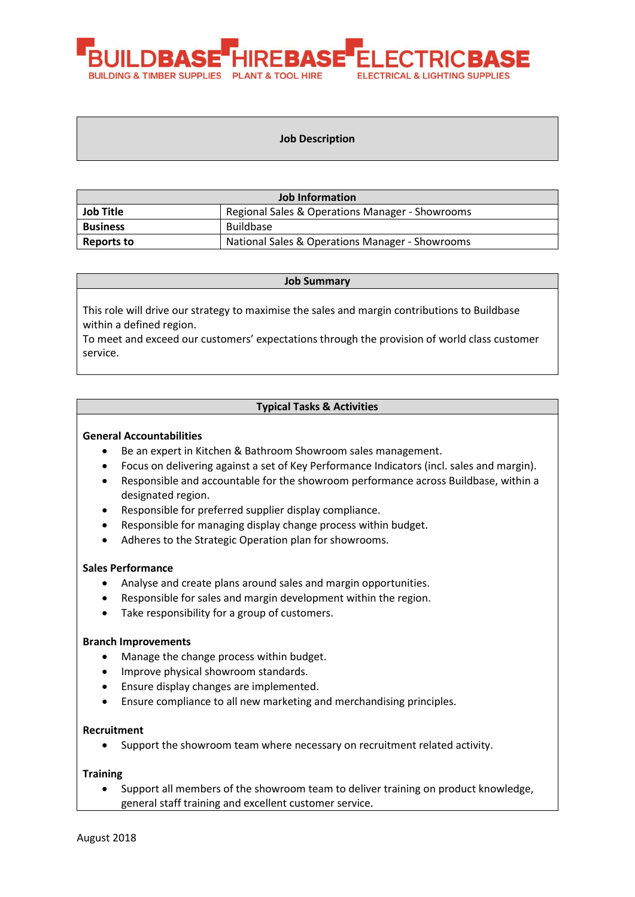

### **Job Description**

| <b>Job Information</b> |                                                 |  |
|------------------------|-------------------------------------------------|--|
| <b>Job Title</b>       | Regional Sales & Operations Manager - Showrooms |  |
| <b>Business</b>        | Buildbase                                       |  |
| Reports to             | National Sales & Operations Manager - Showrooms |  |

#### **Job Summary**

This role will drive our strategy to maximise the sales and margin contributions to Buildbase within a defined region.

To meet and exceed our customers' expectations through the provision of world class customer service.

# **Typical Tasks & Activities**

### **General Accountabilities**

- Be an expert in Kitchen & Bathroom Showroom sales management.
- Focus on delivering against a set of Key Performance Indicators (incl. sales and margin).
- Responsible and accountable for the showroom performance across Buildbase, within a designated region.
- Responsible for preferred supplier display compliance.
- Responsible for managing display change process within budget.
- Adheres to the Strategic Operation plan for showrooms.

### **Sales Performance**

- Analyse and create plans around sales and margin opportunities.
- Responsible for sales and margin development within the region.
- Take responsibility for a group of customers.

### **Branch Improvements**

- Manage the change process within budget.
- Improve physical showroom standards.
- Ensure display changes are implemented.
- Ensure compliance to all new marketing and merchandising principles.

### **Recruitment**

• Support the showroom team where necessary on recruitment related activity.

### **Training**

• Support all members of the showroom team to deliver training on product knowledge, general staff training and excellent customer service.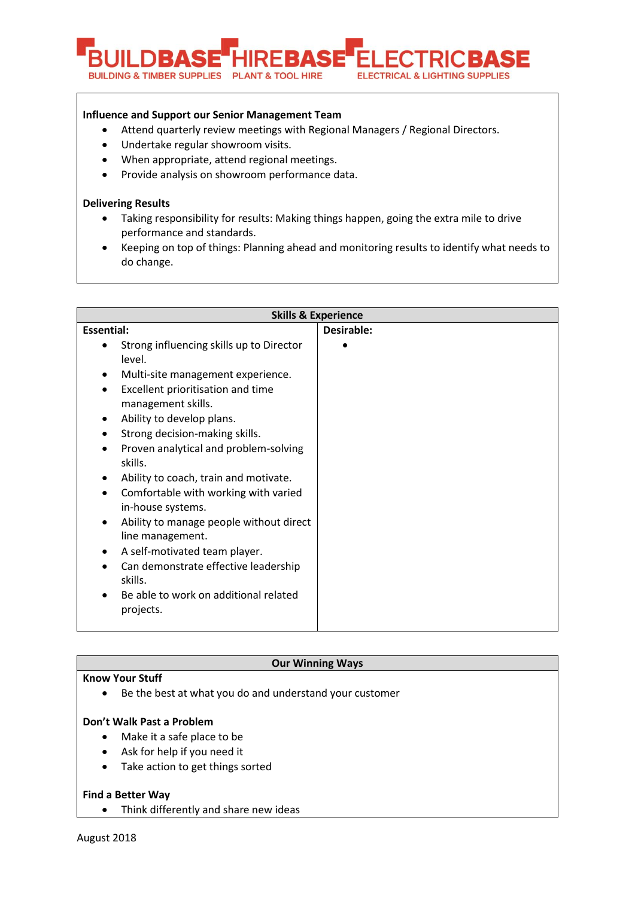

# **Influence and Support our Senior Management Team**

- Attend quarterly review meetings with Regional Managers / Regional Directors.
- Undertake regular showroom visits.
- When appropriate, attend regional meetings.
- Provide analysis on showroom performance data.

# **Delivering Results**

- Taking responsibility for results: Making things happen, going the extra mile to drive performance and standards.
- Keeping on top of things: Planning ahead and monitoring results to identify what needs to do change.

| <b>Skills &amp; Experience</b>                                                                                                                                                                                                                                                                                                                                                                                                                                                                                                                                                                                                                                                       |            |  |
|--------------------------------------------------------------------------------------------------------------------------------------------------------------------------------------------------------------------------------------------------------------------------------------------------------------------------------------------------------------------------------------------------------------------------------------------------------------------------------------------------------------------------------------------------------------------------------------------------------------------------------------------------------------------------------------|------------|--|
| <b>Essential:</b>                                                                                                                                                                                                                                                                                                                                                                                                                                                                                                                                                                                                                                                                    | Desirable: |  |
| Strong influencing skills up to Director<br>$\bullet$<br>level.<br>Multi-site management experience.<br>Excellent prioritisation and time<br>$\bullet$<br>management skills.<br>Ability to develop plans.<br>$\bullet$<br>Strong decision-making skills.<br>٠<br>Proven analytical and problem-solving<br>$\bullet$<br>skills.<br>Ability to coach, train and motivate.<br>Comfortable with working with varied<br>$\bullet$<br>in-house systems.<br>Ability to manage people without direct<br>line management.<br>A self-motivated team player.<br>$\bullet$<br>Can demonstrate effective leadership<br>$\bullet$<br>skills.<br>Be able to work on additional related<br>projects. |            |  |

### **Our Winning Ways**

### **Know Your Stuff**

• Be the best at what you do and understand your customer

# **Don't Walk Past a Problem**

- Make it a safe place to be
- Ask for help if you need it
- Take action to get things sorted

# **Find a Better Way**

• Think differently and share new ideas